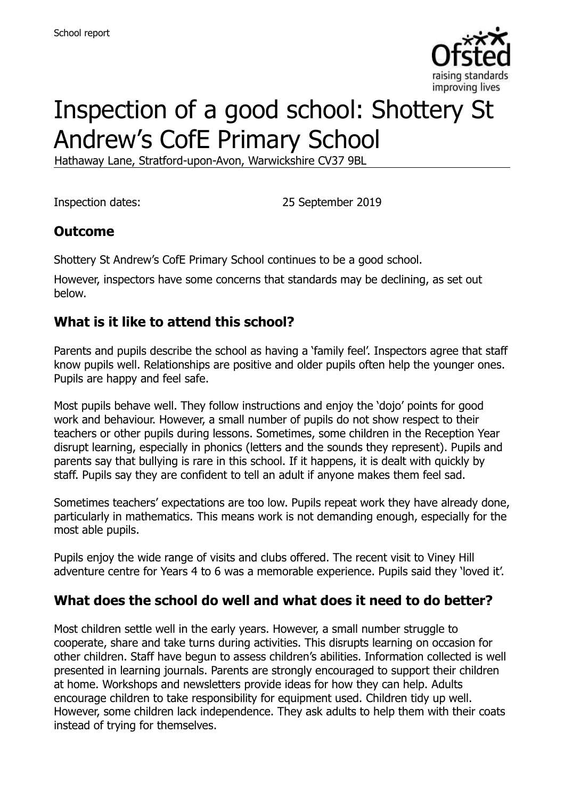

# Inspection of a good school: Shottery St Andrew's CofE Primary School

Hathaway Lane, Stratford-upon-Avon, Warwickshire CV37 9BL

Inspection dates: 25 September 2019

### **Outcome**

Shottery St Andrew's CofE Primary School continues to be a good school.

However, inspectors have some concerns that standards may be declining, as set out below.

### **What is it like to attend this school?**

Parents and pupils describe the school as having a 'family feel'. Inspectors agree that staff know pupils well. Relationships are positive and older pupils often help the younger ones. Pupils are happy and feel safe.

Most pupils behave well. They follow instructions and enjoy the 'dojo' points for good work and behaviour. However, a small number of pupils do not show respect to their teachers or other pupils during lessons. Sometimes, some children in the Reception Year disrupt learning, especially in phonics (letters and the sounds they represent). Pupils and parents say that bullying is rare in this school. If it happens, it is dealt with quickly by staff. Pupils say they are confident to tell an adult if anyone makes them feel sad.

Sometimes teachers' expectations are too low. Pupils repeat work they have already done, particularly in mathematics. This means work is not demanding enough, especially for the most able pupils.

Pupils enjoy the wide range of visits and clubs offered. The recent visit to Viney Hill adventure centre for Years 4 to 6 was a memorable experience. Pupils said they 'loved it'.

#### **What does the school do well and what does it need to do better?**

Most children settle well in the early years. However, a small number struggle to cooperate, share and take turns during activities. This disrupts learning on occasion for other children. Staff have begun to assess children's abilities. Information collected is well presented in learning journals. Parents are strongly encouraged to support their children at home. Workshops and newsletters provide ideas for how they can help. Adults encourage children to take responsibility for equipment used. Children tidy up well. However, some children lack independence. They ask adults to help them with their coats instead of trying for themselves.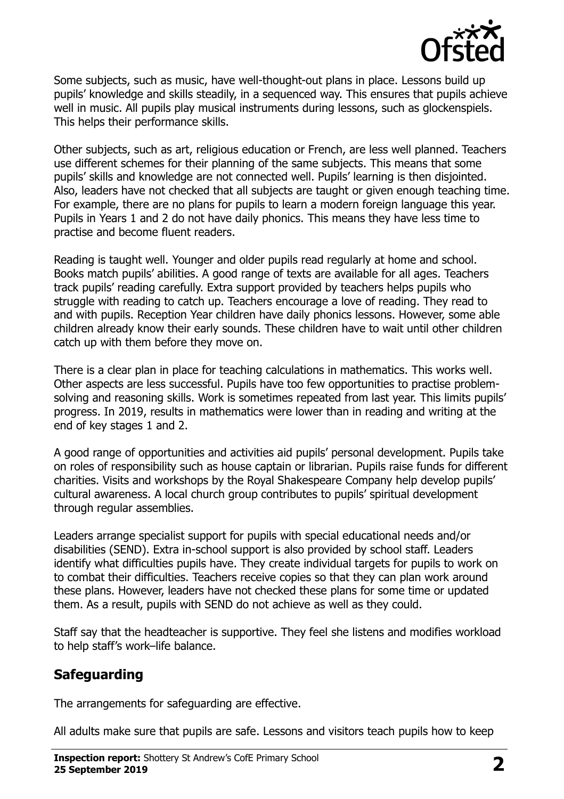

Some subjects, such as music, have well-thought-out plans in place. Lessons build up pupils' knowledge and skills steadily, in a sequenced way. This ensures that pupils achieve well in music. All pupils play musical instruments during lessons, such as glockenspiels. This helps their performance skills.

Other subjects, such as art, religious education or French, are less well planned. Teachers use different schemes for their planning of the same subjects. This means that some pupils' skills and knowledge are not connected well. Pupils' learning is then disjointed. Also, leaders have not checked that all subjects are taught or given enough teaching time. For example, there are no plans for pupils to learn a modern foreign language this year. Pupils in Years 1 and 2 do not have daily phonics. This means they have less time to practise and become fluent readers.

Reading is taught well. Younger and older pupils read regularly at home and school. Books match pupils' abilities. A good range of texts are available for all ages. Teachers track pupils' reading carefully. Extra support provided by teachers helps pupils who struggle with reading to catch up. Teachers encourage a love of reading. They read to and with pupils. Reception Year children have daily phonics lessons. However, some able children already know their early sounds. These children have to wait until other children catch up with them before they move on.

There is a clear plan in place for teaching calculations in mathematics. This works well. Other aspects are less successful. Pupils have too few opportunities to practise problemsolving and reasoning skills. Work is sometimes repeated from last year. This limits pupils' progress. In 2019, results in mathematics were lower than in reading and writing at the end of key stages 1 and 2.

A good range of opportunities and activities aid pupils' personal development. Pupils take on roles of responsibility such as house captain or librarian. Pupils raise funds for different charities. Visits and workshops by the Royal Shakespeare Company help develop pupils' cultural awareness. A local church group contributes to pupils' spiritual development through regular assemblies.

Leaders arrange specialist support for pupils with special educational needs and/or disabilities (SEND). Extra in-school support is also provided by school staff. Leaders identify what difficulties pupils have. They create individual targets for pupils to work on to combat their difficulties. Teachers receive copies so that they can plan work around these plans. However, leaders have not checked these plans for some time or updated them. As a result, pupils with SEND do not achieve as well as they could.

Staff say that the headteacher is supportive. They feel she listens and modifies workload to help staff's work–life balance.

# **Safeguarding**

The arrangements for safeguarding are effective.

All adults make sure that pupils are safe. Lessons and visitors teach pupils how to keep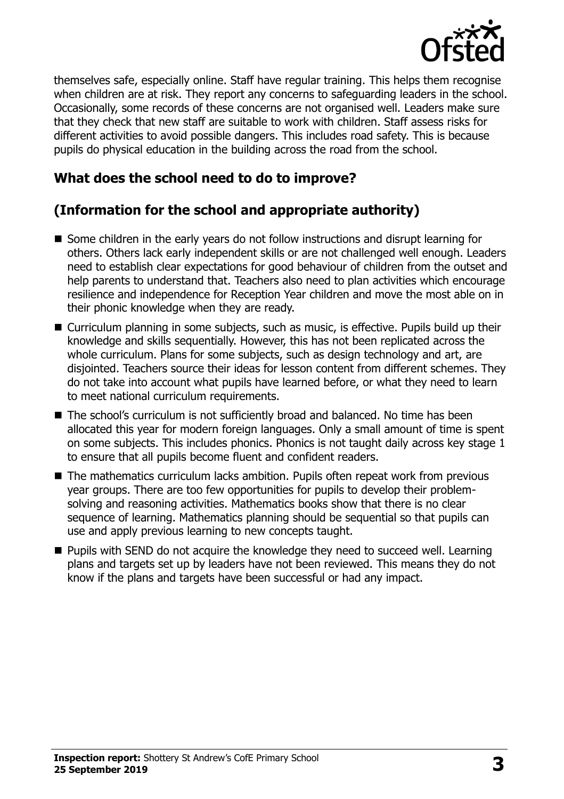

themselves safe, especially online. Staff have regular training. This helps them recognise when children are at risk. They report any concerns to safeguarding leaders in the school. Occasionally, some records of these concerns are not organised well. Leaders make sure that they check that new staff are suitable to work with children. Staff assess risks for different activities to avoid possible dangers. This includes road safety. This is because pupils do physical education in the building across the road from the school.

### **What does the school need to do to improve?**

# **(Information for the school and appropriate authority)**

- Some children in the early years do not follow instructions and disrupt learning for others. Others lack early independent skills or are not challenged well enough. Leaders need to establish clear expectations for good behaviour of children from the outset and help parents to understand that. Teachers also need to plan activities which encourage resilience and independence for Reception Year children and move the most able on in their phonic knowledge when they are ready.
- Curriculum planning in some subjects, such as music, is effective. Pupils build up their knowledge and skills sequentially. However, this has not been replicated across the whole curriculum. Plans for some subjects, such as design technology and art, are disjointed. Teachers source their ideas for lesson content from different schemes. They do not take into account what pupils have learned before, or what they need to learn to meet national curriculum requirements.
- The school's curriculum is not sufficiently broad and balanced. No time has been allocated this year for modern foreign languages. Only a small amount of time is spent on some subjects. This includes phonics. Phonics is not taught daily across key stage 1 to ensure that all pupils become fluent and confident readers.
- The mathematics curriculum lacks ambition. Pupils often repeat work from previous year groups. There are too few opportunities for pupils to develop their problemsolving and reasoning activities. Mathematics books show that there is no clear sequence of learning. Mathematics planning should be sequential so that pupils can use and apply previous learning to new concepts taught.
- **Pupils with SEND do not acquire the knowledge they need to succeed well. Learning** plans and targets set up by leaders have not been reviewed. This means they do not know if the plans and targets have been successful or had any impact.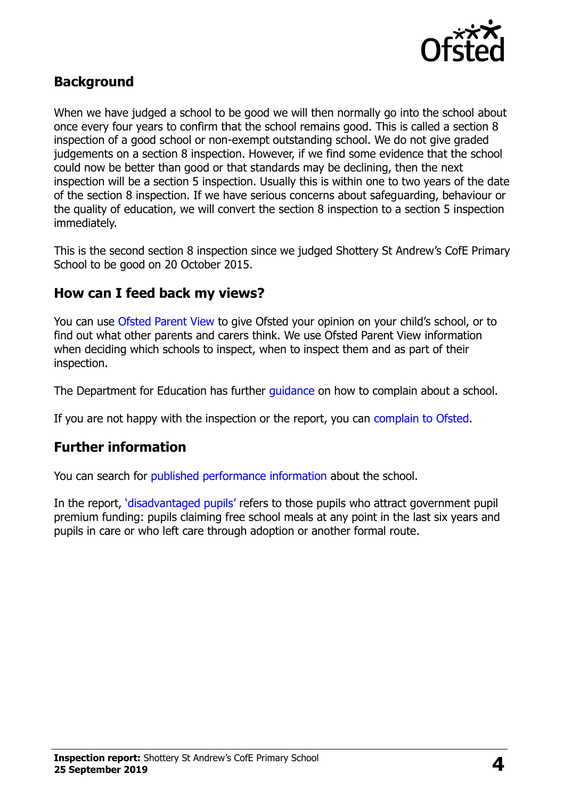

#### **Background**

When we have judged a school to be good we will then normally go into the school about once every four years to confirm that the school remains good. This is called a section 8 inspection of a good school or non-exempt outstanding school. We do not give graded judgements on a section 8 inspection. However, if we find some evidence that the school could now be better than good or that standards may be declining, then the next inspection will be a section 5 inspection. Usually this is within one to two years of the date of the section 8 inspection. If we have serious concerns about safeguarding, behaviour or the quality of education, we will convert the section 8 inspection to a section 5 inspection immediately.

This is the second section 8 inspection since we judged Shottery St Andrew's CofE Primary School to be good on 20 October 2015.

#### **How can I feed back my views?**

You can use [Ofsted Parent View](https://parentview.ofsted.gov.uk/) to give Ofsted your opinion on your child's school, or to find out what other parents and carers think. We use Ofsted Parent View information when deciding which schools to inspect, when to inspect them and as part of their inspection.

The Department for Education has further quidance on how to complain about a school.

If you are not happy with the inspection or the report, you can [complain to Ofsted.](https://www.gov.uk/complain-ofsted-report)

#### **Further information**

You can search for [published performance information](http://www.compare-school-performance.service.gov.uk/) about the school.

In the report, '[disadvantaged pupils](http://www.gov.uk/guidance/pupil-premium-information-for-schools-and-alternative-provision-settings)' refers to those pupils who attract government pupil premium funding: pupils claiming free school meals at any point in the last six years and pupils in care or who left care through adoption or another formal route.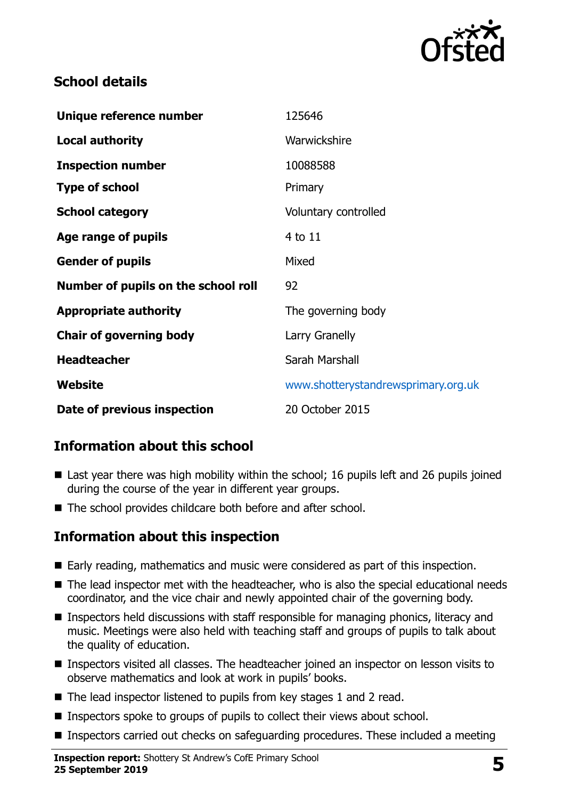

### **School details**

| Unique reference number             | 125646                              |
|-------------------------------------|-------------------------------------|
| <b>Local authority</b>              | Warwickshire                        |
| <b>Inspection number</b>            | 10088588                            |
| <b>Type of school</b>               | Primary                             |
| <b>School category</b>              | Voluntary controlled                |
| Age range of pupils                 | 4 to 11                             |
| <b>Gender of pupils</b>             | Mixed                               |
| Number of pupils on the school roll | 92                                  |
| <b>Appropriate authority</b>        | The governing body                  |
| <b>Chair of governing body</b>      | Larry Granelly                      |
| <b>Headteacher</b>                  | Sarah Marshall                      |
| Website                             | www.shotterystandrewsprimary.org.uk |
| Date of previous inspection         | 20 October 2015                     |

# **Information about this school**

- Last year there was high mobility within the school; 16 pupils left and 26 pupils joined during the course of the year in different year groups.
- The school provides childcare both before and after school.

#### **Information about this inspection**

- Early reading, mathematics and music were considered as part of this inspection.
- The lead inspector met with the headteacher, who is also the special educational needs coordinator, and the vice chair and newly appointed chair of the governing body.
- Inspectors held discussions with staff responsible for managing phonics, literacy and music. Meetings were also held with teaching staff and groups of pupils to talk about the quality of education.
- Inspectors visited all classes. The headteacher joined an inspector on lesson visits to observe mathematics and look at work in pupils' books.
- The lead inspector listened to pupils from key stages 1 and 2 read.
- Inspectors spoke to groups of pupils to collect their views about school.
- **Inspectors carried out checks on safeguarding procedures. These included a meeting**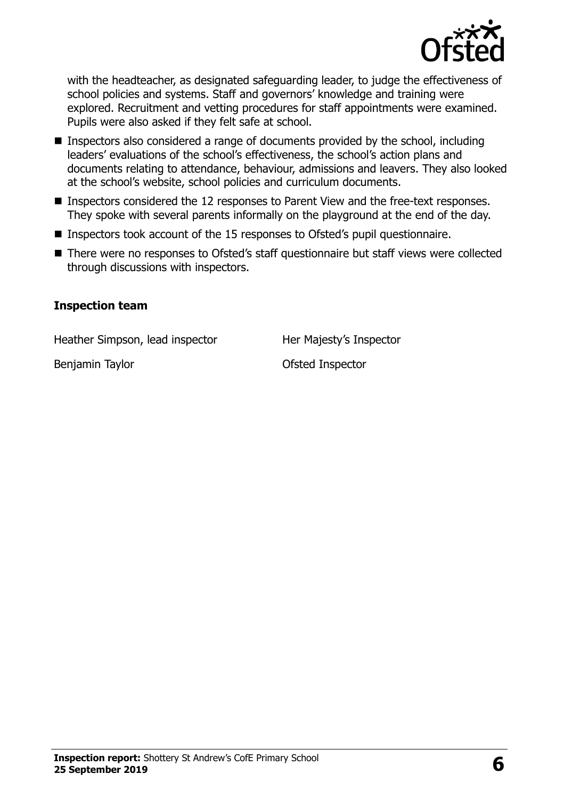

with the headteacher, as designated safeguarding leader, to judge the effectiveness of school policies and systems. Staff and governors' knowledge and training were explored. Recruitment and vetting procedures for staff appointments were examined. Pupils were also asked if they felt safe at school.

- **Inspectors also considered a range of documents provided by the school, including** leaders' evaluations of the school's effectiveness, the school's action plans and documents relating to attendance, behaviour, admissions and leavers. They also looked at the school's website, school policies and curriculum documents.
- Inspectors considered the 12 responses to Parent View and the free-text responses. They spoke with several parents informally on the playground at the end of the day.
- Inspectors took account of the 15 responses to Ofsted's pupil questionnaire.
- There were no responses to Ofsted's staff questionnaire but staff views were collected through discussions with inspectors.

#### **Inspection team**

Heather Simpson, lead inspector Her Majesty's Inspector

Benjamin Taylor **Disk and Selection** Ofsted Inspector